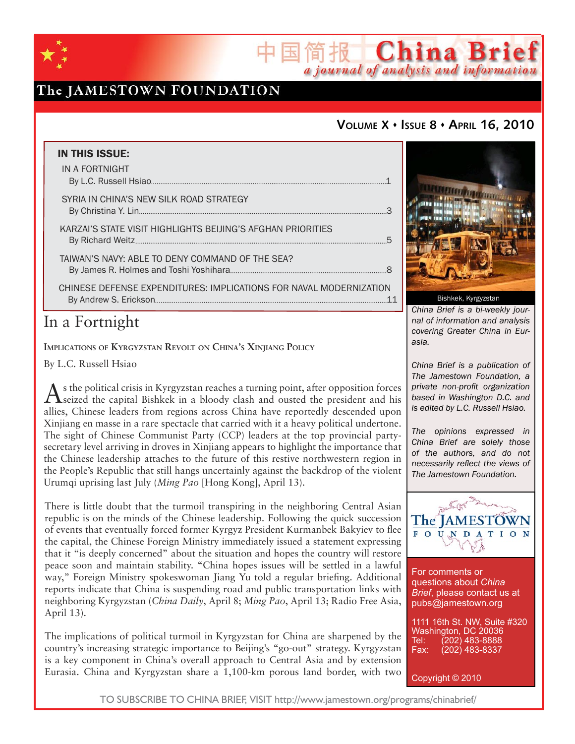

# The JAMESTOWN FOUNDATION

## **VOLUME X ISSUE 8 APRIL 16, 2010**

简报 China Brief

a journal of analysis and information

| <b>IN THIS ISSUE:</b>                                              |  |
|--------------------------------------------------------------------|--|
| IN A FORTNIGHT                                                     |  |
| SYRIA IN CHINA'S NEW SILK ROAD STRATEGY                            |  |
| KARZAI'S STATE VISIT HIGHLIGHTS BEIJING'S AFGHAN PRIORITIES        |  |
| TAIWAN'S NAVY: ABLE TO DENY COMMAND OF THE SEA?                    |  |
| CHINESE DEFENSE EXPENDITURES: IMPLICATIONS FOR NAVAL MODERNIZATION |  |

# In a Fortnight

**IMPLICATIONS OF KYRGYZSTAN REVOLT ON CHINA'S XINJIANG POLICY**

By L.C. Russell Hsiao

As the political crisis in Kyrgyzstan reaches a turning point, after opposition forces<br>Seized the capital Bishkek in a bloody clash and ousted the president and his allies, Chinese leaders from regions across China have reportedly descended upon Xinjiang en masse in a rare spectacle that carried with it a heavy political undertone. The sight of Chinese Communist Party (CCP) leaders at the top provincial partysecretary level arriving in droves in Xinjiang appears to highlight the importance that the Chinese leadership attaches to the future of this restive northwestern region in the People's Republic that still hangs uncertainly against the backdrop of the violent Urumqi uprising last July (*Ming Pao* [Hong Kong], April 13).

There is little doubt that the turmoil transpiring in the neighboring Central Asian republic is on the minds of the Chinese leadership. Following the quick succession of events that eventually forced former Kyrgyz President Kurmanbek Bakyiev to flee the capital, the Chinese Foreign Ministry immediately issued a statement expressing that it "is deeply concerned" about the situation and hopes the country will restore peace soon and maintain stability. "China hopes issues will be settled in a lawful way," Foreign Ministry spokeswoman Jiang Yu told a regular briefing. Additional reports indicate that China is suspending road and public transportation links with neighboring Kyrgyzstan (*China Daily*, April 8; *Ming Pao*, April 13; Radio Free Asia, April 13).

The implications of political turmoil in Kyrgyzstan for China are sharpened by the country's increasing strategic importance to Beijing's "go-out" strategy. Kyrgyzstan is a key component in China's overall approach to Central Asia and by extension Eurasia. China and Kyrgyzstan share a 1,100-km porous land border, with two



*China Brief is a bi-weekly journal of information and analysis covering Greater China in Eurasia.* 

*China Brief is a publication of The Jamestown Foundation, a private non-profit organization based in Washington D.C. and is edited by L.C. Russell Hsiao.*

*The opinions expressed in China Brief are solely those of the authors, and do not necessarily reflect the views of The Jamestown Foundation.*



For comments or questions about *China Brief*, please contact us at pubs@jamestown.org

1111 16th St. NW, Suite #320 Washington, DC 20036<br>Tel: (202) 483-8888 Tel: (202) 483-8888<br>Fax: (202) 483-8337 Fax: (202) 483-8337

Copyright © 2010

TO SUBSCRIBE TO CHINA BRIEF, VISIT http://www.jamestown.org/programs/chinabrief/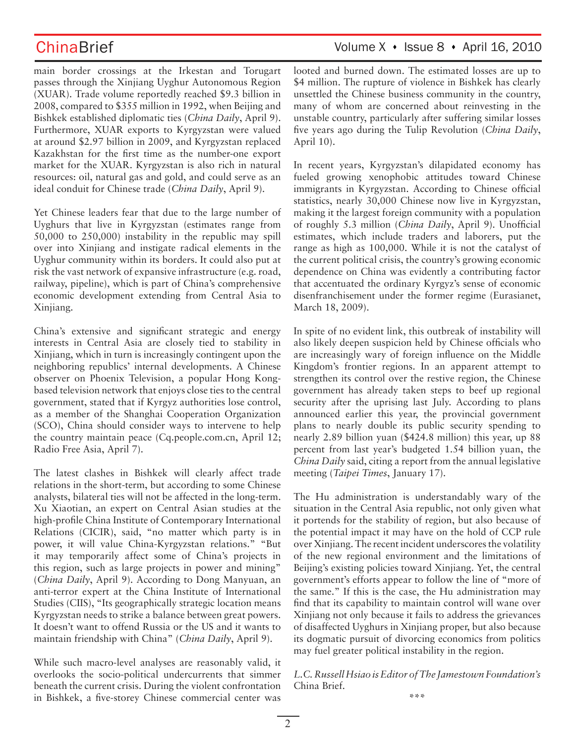main border crossings at the Irkestan and Torugart passes through the Xinjiang Uyghur Autonomous Region (XUAR). Trade volume reportedly reached \$9.3 billion in 2008, compared to \$355 million in 1992, when Beijing and Bishkek established diplomatic ties (*China Daily*, April 9). Furthermore, XUAR exports to Kyrgyzstan were valued at around \$2.97 billion in 2009, and Kyrgyzstan replaced Kazakhstan for the first time as the number-one export market for the XUAR. Kyrgyzstan is also rich in natural resources: oil, natural gas and gold, and could serve as an ideal conduit for Chinese trade (*China Daily*, April 9).

Yet Chinese leaders fear that due to the large number of Uyghurs that live in Kyrgyzstan (estimates range from 50,000 to 250,000) instability in the republic may spill over into Xinjiang and instigate radical elements in the Uyghur community within its borders. It could also put at risk the vast network of expansive infrastructure (e.g. road, railway, pipeline), which is part of China's comprehensive economic development extending from Central Asia to Xinjiang.

China's extensive and significant strategic and energy interests in Central Asia are closely tied to stability in Xinjiang, which in turn is increasingly contingent upon the neighboring republics' internal developments. A Chinese observer on Phoenix Television, a popular Hong Kongbased television network that enjoys close ties to the central government, stated that if Kyrgyz authorities lose control, as a member of the Shanghai Cooperation Organization (SCO), China should consider ways to intervene to help the country maintain peace (Cq.people.com.cn, April 12; Radio Free Asia, April 7).

The latest clashes in Bishkek will clearly affect trade relations in the short-term, but according to some Chinese analysts, bilateral ties will not be affected in the long-term. Xu Xiaotian, an expert on Central Asian studies at the high-profile China Institute of Contemporary International Relations (CICIR), said, "no matter which party is in power, it will value China-Kyrgyzstan relations." "But it may temporarily affect some of China's projects in this region, such as large projects in power and mining" (*China Daily*, April 9). According to Dong Manyuan, an anti-terror expert at the China Institute of International Studies (CIIS), "Its geographically strategic location means Kyrgyzstan needs to strike a balance between great powers. It doesn't want to offend Russia or the US and it wants to maintain friendship with China" (*China Daily*, April 9).

While such macro-level analyses are reasonably valid, it overlooks the socio-political undercurrents that simmer beneath the current crisis. During the violent confrontation in Bishkek, a five-storey Chinese commercial center was

## ChinaBrief Volume X · Issue 8 · April 16, 2010

looted and burned down. The estimated losses are up to \$4 million. The rupture of violence in Bishkek has clearly unsettled the Chinese business community in the country, many of whom are concerned about reinvesting in the unstable country, particularly after suffering similar losses five years ago during the Tulip Revolution (*China Daily*, April 10).

In recent years, Kyrgyzstan's dilapidated economy has fueled growing xenophobic attitudes toward Chinese immigrants in Kyrgyzstan. According to Chinese official statistics, nearly 30,000 Chinese now live in Kyrgyzstan, making it the largest foreign community with a population of roughly 5.3 million (*China Daily*, April 9). Unofficial estimates, which include traders and laborers, put the range as high as 100,000. While it is not the catalyst of the current political crisis, the country's growing economic dependence on China was evidently a contributing factor that accentuated the ordinary Kyrgyz's sense of economic disenfranchisement under the former regime (Eurasianet, March 18, 2009).

In spite of no evident link, this outbreak of instability will also likely deepen suspicion held by Chinese officials who are increasingly wary of foreign influence on the Middle Kingdom's frontier regions. In an apparent attempt to strengthen its control over the restive region, the Chinese government has already taken steps to beef up regional security after the uprising last July. According to plans announced earlier this year, the provincial government plans to nearly double its public security spending to nearly 2.89 billion yuan (\$424.8 million) this year, up 88 percent from last year's budgeted 1.54 billion yuan, the *China Daily* said, citing a report from the annual legislative meeting (*Taipei Times*, January 17).

The Hu administration is understandably wary of the situation in the Central Asia republic, not only given what it portends for the stability of region, but also because of the potential impact it may have on the hold of CCP rule over Xinjiang. The recent incident underscores the volatility of the new regional environment and the limitations of Beijing's existing policies toward Xinjiang. Yet, the central government's efforts appear to follow the line of "more of the same." If this is the case, the Hu administration may find that its capability to maintain control will wane over Xinjiang not only because it fails to address the grievances of disaffected Uyghurs in Xinjiang proper, but also because its dogmatic pursuit of divorcing economics from politics may fuel greater political instability in the region.

*L.C. Russell Hsiao is Editor of The Jamestown Foundation's*  China Brief.

**\*\*\***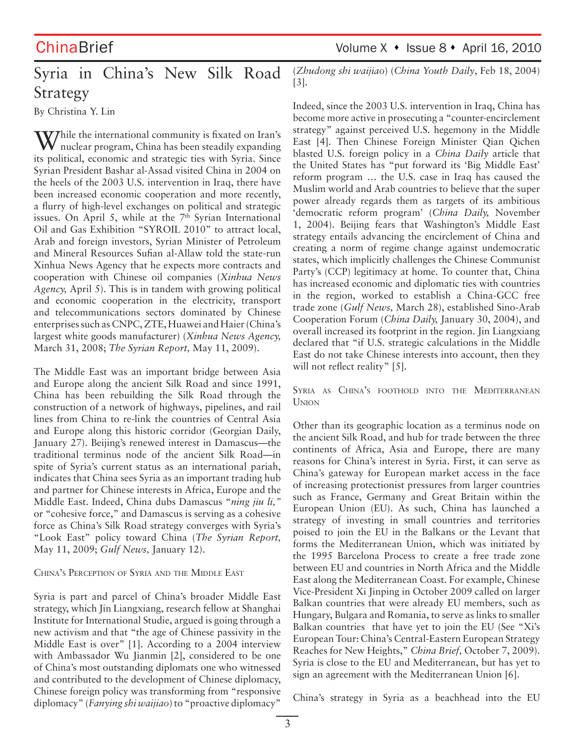# ChinaBrief Volume X • Issue 8 • April 16, 2010

# Syria in China's New Silk Road Strategy

By Christina Y. Lin

W/hile the international community is fixated on Iran's nuclear program, China has been steadily expanding its political, economic and strategic ties with Syria. Since Syrian President Bashar al-Assad visited China in 2004 on the heels of the 2003 U.S. intervention in Iraq, there have been increased economic cooperation and more recently, a flurry of high-level exchanges on political and strategic issues. On April 5, while at the  $7<sup>th</sup>$  Syrian International Oil and Gas Exhibition "SYROIL 2010" to attract local, Arab and foreign investors, Syrian Minister of Petroleum and Mineral Resources Sufian al-Allaw told the state-run Xinhua News Agency that he expects more contracts and cooperation with Chinese oil companies (*Xinhua News Agency,* April 5). This is in tandem with growing political and economic cooperation in the electricity, transport and telecommunications sectors dominated by Chinese enterprises such as CNPC, ZTE, Huawei and Haier (China's largest white goods manufacturer) (*Xinhua News Agency,*  March 31, 2008; *The Syrian Report,* May 11, 2009).

The Middle East was an important bridge between Asia and Europe along the ancient Silk Road and since 1991, China has been rebuilding the Silk Road through the construction of a network of highways, pipelines, and rail lines from China to re-link the countries of Central Asia and Europe along this historic corridor (Georgian Daily, January 27). Beijing's renewed interest in Damascus—the traditional terminus node of the ancient Silk Road—in spite of Syria's current status as an international pariah, indicates that China sees Syria as an important trading hub and partner for Chinese interests in Africa, Europe and the Middle East. Indeed, China dubs Damascus "*ning jiu li,"*  or "cohesive force," and Damascus is serving as a cohesive force as China's Silk Road strategy converges with Syria's "Look East" policy toward China (*The Syrian Report,*  May 11, 2009; *Gulf News,* January 12).

### CHINA'S PERCEPTION OF SYRIA AND THE MIDDLE EAST

Syria is part and parcel of China's broader Middle East strategy, which Jin Liangxiang, research fellow at Shanghai Institute for International Studie, argued is going through a new activism and that "the age of Chinese passivity in the Middle East is over" [1]. According to a 2004 interview with Ambassador Wu Jianmin [2], considered to be one of China's most outstanding diplomats one who witnessed and contributed to the development of Chinese diplomacy, Chinese foreign policy was transforming from "responsive diplomacy" (*Fanying shi waijiao*) to "proactive diplomacy"

(*Zhudong shi waijiao*) (*China Youth Daily*, Feb 18, 2004) [3].

Indeed, since the 2003 U.S. intervention in Iraq, China has become more active in prosecuting a "counter-encirclement strategy" against perceived U.S. hegemony in the Middle East [4]. Then Chinese Foreign Minister Qian Qichen blasted U.S. foreign policy in a *China Daily* article that the United States has "put forward its 'Big Middle East' reform program … the U.S. case in Iraq has caused the Muslim world and Arab countries to believe that the super power already regards them as targets of its ambitious 'democratic reform program' (*China Daily,* November 1, 2004). Beijing fears that Washington's Middle East strategy entails advancing the encirclement of China and creating a norm of regime change against undemocratic states, which implicitly challenges the Chinese Communist Party's (CCP) legitimacy at home. To counter that, China has increased economic and diplomatic ties with countries in the region, worked to establish a China-GCC free trade zone (*Gulf News,* March 28), established Sino-Arab Cooperation Forum (*China Daily,* January 30, 2004), and overall increased its footprint in the region. Jin Liangxiang declared that "if U.S. strategic calculations in the Middle East do not take Chinese interests into account, then they will not reflect reality" [5].

SYRIA AS CHINA'S FOOTHOLD INTO THE MEDITERRANEAN UNION

Other than its geographic location as a terminus node on the ancient Silk Road, and hub for trade between the three continents of Africa, Asia and Europe, there are many reasons for China's interest in Syria. First, it can serve as China's gateway for European market access in the face of increasing protectionist pressures from larger countries such as France, Germany and Great Britain within the European Union (EU). As such, China has launched a strategy of investing in small countries and territories poised to join the EU in the Balkans or the Levant that forms the Mediterranean Union, which was initiated by the 1995 Barcelona Process to create a free trade zone between EU and countries in North Africa and the Middle East along the Mediterranean Coast. For example, Chinese Vice-President Xi Jinping in October 2009 called on larger Balkan countries that were already EU members, such as Hungary, Bulgara and Romania, to serve as links to smaller Balkan countries that have yet to join the EU (See "Xi's European Tour: China's Central-Eastern European Strategy Reaches for New Heights," *China Brief,* October 7, 2009). Syria is close to the EU and Mediterranean, but has yet to sign an agreement with the Mediterranean Union [6].

China's strategy in Syria as a beachhead into the EU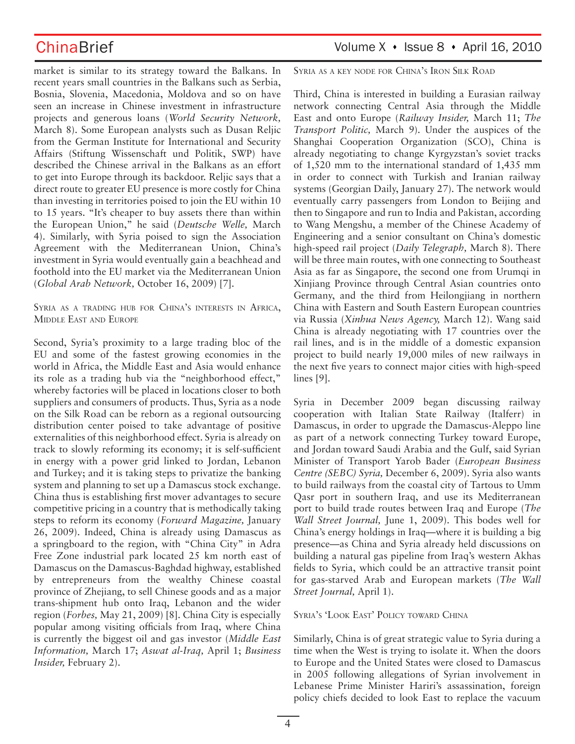market is similar to its strategy toward the Balkans. In recent years small countries in the Balkans such as Serbia, Bosnia, Slovenia, Macedonia, Moldova and so on have seen an increase in Chinese investment in infrastructure projects and generous loans (*World Security Network,*  March 8). Some European analysts such as Dusan Reljic from the German Institute for International and Security Affairs (Stiftung Wissenschaft und Politik, SWP) have described the Chinese arrival in the Balkans as an effort to get into Europe through its backdoor. Reljic says that a direct route to greater EU presence is more costly for China than investing in territories poised to join the EU within 10 to 15 years. "It's cheaper to buy assets there than within the European Union," he said (*Deutsche Welle,* March 4). Similarly, with Syria poised to sign the Association Agreement with the Mediterranean Union, China's investment in Syria would eventually gain a beachhead and foothold into the EU market via the Mediterranean Union (*Global Arab Network,* October 16, 2009) [7].

SYRIA AS <sup>A</sup> TRADING HUB FOR CHINA'S INTERESTS IN AFRICA, MIDDLE EAST AND EUROPE

Second, Syria's proximity to a large trading bloc of the EU and some of the fastest growing economies in the world in Africa, the Middle East and Asia would enhance its role as a trading hub via the "neighborhood effect," whereby factories will be placed in locations closer to both suppliers and consumers of products. Thus, Syria as a node on the Silk Road can be reborn as a regional outsourcing distribution center poised to take advantage of positive externalities of this neighborhood effect. Syria is already on track to slowly reforming its economy; it is self-sufficient in energy with a power grid linked to Jordan, Lebanon and Turkey; and it is taking steps to privatize the banking system and planning to set up a Damascus stock exchange. China thus is establishing first mover advantages to secure competitive pricing in a country that is methodically taking steps to reform its economy (*Forward Magazine,* January 26, 2009). Indeed, China is already using Damascus as a springboard to the region, with "China City" in Adra Free Zone industrial park located 25 km north east of Damascus on the Damascus-Baghdad highway, established by entrepreneurs from the wealthy Chinese coastal province of Zhejiang, to sell Chinese goods and as a major trans-shipment hub onto Iraq, Lebanon and the wider region (*Forbes,* May 21, 2009) [8]. China City is especially popular among visiting officials from Iraq, where China is currently the biggest oil and gas investor (*Middle East Information,* March 17; *Aswat al-Iraq,* April 1; *Business Insider,* February 2).

SYRIA AS A KEY NODE FOR CHINA'S IRON SILK ROAD

Third, China is interested in building a Eurasian railway network connecting Central Asia through the Middle East and onto Europe (*Railway Insider,* March 11; *The Transport Politic,* March 9). Under the auspices of the Shanghai Cooperation Organization (SCO), China is already negotiating to change Kyrgyzstan's soviet tracks of 1,520 mm to the international standard of 1,435 mm in order to connect with Turkish and Iranian railway systems (Georgian Daily, January 27). The network would eventually carry passengers from London to Beijing and then to Singapore and run to India and Pakistan, according to Wang Mengshu, a member of the Chinese Academy of Engineering and a senior consultant on China's domestic high-speed rail project (*Daily Telegraph,* March 8). There will be three main routes, with one connecting to Southeast Asia as far as Singapore, the second one from Urumqi in Xinjiang Province through Central Asian countries onto Germany, and the third from Heilongjiang in northern China with Eastern and South Eastern European countries via Russia (*Xinhua News Agency,* March 12). Wang said China is already negotiating with 17 countries over the rail lines, and is in the middle of a domestic expansion project to build nearly 19,000 miles of new railways in the next five years to connect major cities with high-speed lines [9].

Syria in December 2009 began discussing railway cooperation with Italian State Railway (Italferr) in Damascus, in order to upgrade the Damascus-Aleppo line as part of a network connecting Turkey toward Europe, and Jordan toward Saudi Arabia and the Gulf, said Syrian Minister of Transport Yarob Bader (*European Business Centre (SEBC) Syria,* December 6, 2009). Syria also wants to build railways from the coastal city of Tartous to Umm Qasr port in southern Iraq, and use its Mediterranean port to build trade routes between Iraq and Europe (*The Wall Street Journal,* June 1, 2009). This bodes well for China's energy holdings in Iraq—where it is building a big presence—as China and Syria already held discussions on building a natural gas pipeline from Iraq's western Akhas fields to Syria, which could be an attractive transit point for gas-starved Arab and European markets (*The Wall Street Journal,* April 1).

### SYRIA'S 'LOOK EAST' POLICY TOWARD CHINA

Similarly, China is of great strategic value to Syria during a time when the West is trying to isolate it. When the doors to Europe and the United States were closed to Damascus in 2005 following allegations of Syrian involvement in Lebanese Prime Minister Hariri's assassination, foreign policy chiefs decided to look East to replace the vacuum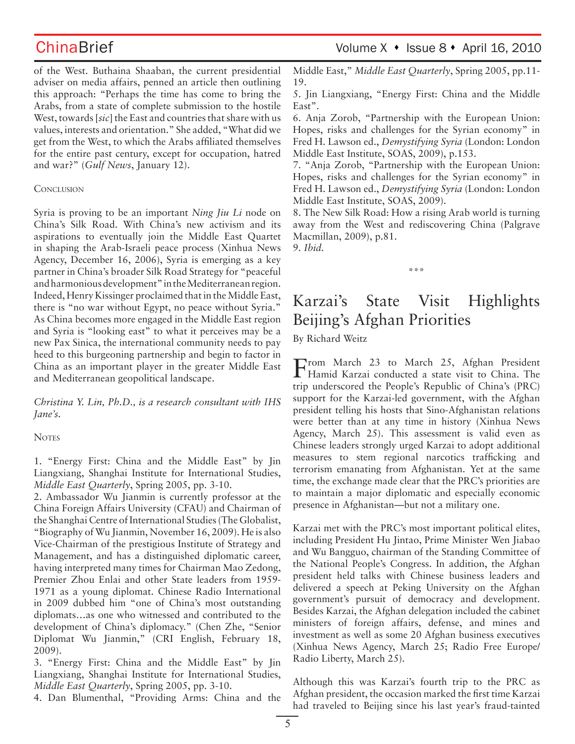ChinaBrief Volume X • Issue 8 • April 16, 2010

of the West. Buthaina Shaaban, the current presidential adviser on media affairs, penned an article then outlining this approach: "Perhaps the time has come to bring the Arabs, from a state of complete submission to the hostile West, towards [*sic*] the East and countries that share with us values, interests and orientation." She added, "What did we get from the West, to which the Arabs affiliated themselves for the entire past century, except for occupation, hatred and war?" (*Gulf News*, January 12).

### **CONCLUSION**

Syria is proving to be an important *Ning Jiu Li* node on China's Silk Road. With China's new activism and its aspirations to eventually join the Middle East Quartet in shaping the Arab-Israeli peace process (Xinhua News Agency, December 16, 2006), Syria is emerging as a key partner in China's broader Silk Road Strategy for "peaceful and harmonious development" in the Mediterranean region. Indeed, Henry Kissinger proclaimed that in the Middle East, there is "no war without Egypt, no peace without Syria." As China becomes more engaged in the Middle East region and Syria is "looking east" to what it perceives may be a new Pax Sinica, the international community needs to pay heed to this burgeoning partnership and begin to factor in China as an important player in the greater Middle East and Mediterranean geopolitical landscape.

*Christina Y. Lin, Ph.D., is a research consultant with IHS Jane's.*

### **NOTES**

1. "Energy First: China and the Middle East" by Jin Liangxiang, Shanghai Institute for International Studies, *Middle East Quarterly*, Spring 2005, pp. 3-10.

2. Ambassador Wu Jianmin is currently professor at the China Foreign Affairs University (CFAU) and Chairman of the Shanghai Centre of International Studies (The Globalist, "Biography of Wu Jianmin, November 16, 2009). He is also Vice-Chairman of the prestigious Institute of Strategy and Management, and has a distinguished diplomatic career, having interpreted many times for Chairman Mao Zedong, Premier Zhou Enlai and other State leaders from 1959- 1971 as a young diplomat. Chinese Radio International in 2009 dubbed him "one of China's most outstanding diplomats…as one who witnessed and contributed to the development of China's diplomacy." (Chen Zhe, "Senior Diplomat Wu Jianmin," (CRI English, February 18, 2009).

3. "Energy First: China and the Middle East" by Jin Liangxiang, Shanghai Institute for International Studies, *Middle East Quarterly*, Spring 2005, pp. 3-10.

4. Dan Blumenthal, "Providing Arms: China and the

Middle East," *Middle East Quarterly*, Spring 2005, pp.11- 19.

5. Jin Liangxiang, "Energy First: China and the Middle East".

6. Anja Zorob, "Partnership with the European Union: Hopes, risks and challenges for the Syrian economy" in Fred H. Lawson ed., *Demystifying Syria* (London: London Middle East Institute, SOAS, 2009), p.153.

7. "Anja Zorob, "Partnership with the European Union: Hopes, risks and challenges for the Syrian economy" in Fred H. Lawson ed., *Demystifying Syria* (London: London Middle East Institute, SOAS, 2009).

8. The New Silk Road: How a rising Arab world is turning away from the West and rediscovering China (Palgrave Macmillan, 2009), p.81. 9. *Ibid.*

\*\*\*

# Karzai's State Visit Highlights Beijing's Afghan Priorities

By Richard Weitz

From March 23 to March 25, Afghan President Hamid Karzai conducted a state visit to China. The trip underscored the People's Republic of China's (PRC) support for the Karzai-led government, with the Afghan president telling his hosts that Sino-Afghanistan relations were better than at any time in history (Xinhua News Agency, March 25). This assessment is valid even as Chinese leaders strongly urged Karzai to adopt additional measures to stem regional narcotics trafficking and terrorism emanating from Afghanistan. Yet at the same time, the exchange made clear that the PRC's priorities are to maintain a major diplomatic and especially economic presence in Afghanistan—but not a military one.

Karzai met with the PRC's most important political elites, including President Hu Jintao, Prime Minister Wen Jiabao and Wu Bangguo, chairman of the Standing Committee of the National People's Congress. In addition, the Afghan president held talks with Chinese business leaders and delivered a speech at Peking University on the Afghan government's pursuit of democracy and development. Besides Karzai, the Afghan delegation included the cabinet ministers of foreign affairs, defense, and mines and investment as well as some 20 Afghan business executives (Xinhua News Agency, March 25; Radio Free Europe/ Radio Liberty, March 25).

Although this was Karzai's fourth trip to the PRC as Afghan president, the occasion marked the first time Karzai had traveled to Beijing since his last year's fraud-tainted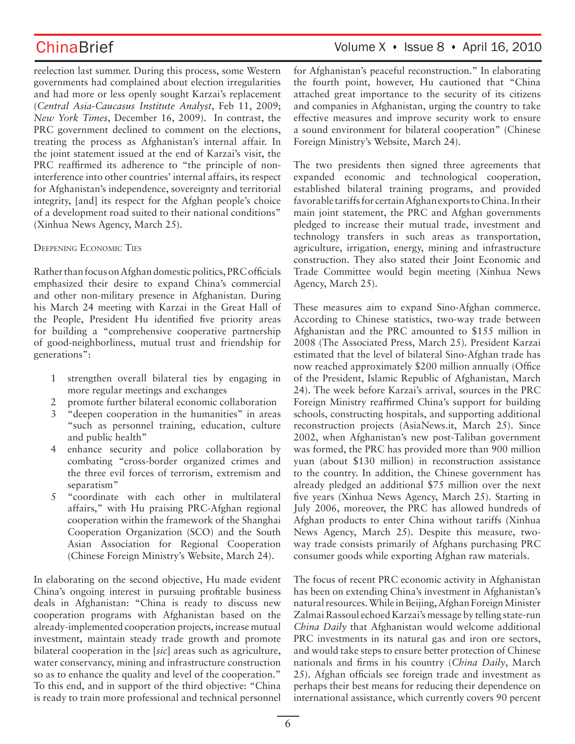reelection last summer. During this process, some Western governments had complained about election irregularities and had more or less openly sought Karzai's replacement (*Central Asia-Caucasus Institute Analyst*, Feb 11, 2009; *New York Times*, December 16, 2009). In contrast, the PRC government declined to comment on the elections, treating the process as Afghanistan's internal affair. In the joint statement issued at the end of Karzai's visit, the PRC reaffirmed its adherence to "the principle of noninterference into other countries' internal affairs, its respect for Afghanistan's independence, sovereignty and territorial integrity, [and] its respect for the Afghan people's choice of a development road suited to their national conditions" (Xinhua News Agency, March 25).

### DEEPENING ECONOMIC TIES

Rather than focus on Afghan domestic politics, PRC officials emphasized their desire to expand China's commercial and other non-military presence in Afghanistan. During his March 24 meeting with Karzai in the Great Hall of the People, President Hu identified five priority areas for building a "comprehensive cooperative partnership of good-neighborliness, mutual trust and friendship for generations":

- 1 strengthen overall bilateral ties by engaging in more regular meetings and exchanges
- 2 promote further bilateral economic collaboration
- 3 "deepen cooperation in the humanities" in areas "such as personnel training, education, culture and public health"
- 4 enhance security and police collaboration by combating "cross-border organized crimes and the three evil forces of terrorism, extremism and separatism"
- 5 "coordinate with each other in multilateral affairs," with Hu praising PRC-Afghan regional cooperation within the framework of the Shanghai Cooperation Organization (SCO) and the South Asian Association for Regional Cooperation (Chinese Foreign Ministry's Website, March 24).

In elaborating on the second objective, Hu made evident China's ongoing interest in pursuing profitable business deals in Afghanistan: "China is ready to discuss new cooperation programs with Afghanistan based on the already-implemented cooperation projects, increase mutual investment, maintain steady trade growth and promote bilateral cooperation in the [*sic*] areas such as agriculture, water conservancy, mining and infrastructure construction so as to enhance the quality and level of the cooperation." To this end, and in support of the third objective: "China is ready to train more professional and technical personnel

## ChinaBrief Volume X · Issue 8 · April 16, 2010

for Afghanistan's peaceful reconstruction." In elaborating the fourth point, however, Hu cautioned that "China attached great importance to the security of its citizens and companies in Afghanistan, urging the country to take effective measures and improve security work to ensure a sound environment for bilateral cooperation" (Chinese Foreign Ministry's Website, March 24).

The two presidents then signed three agreements that expanded economic and technological cooperation, established bilateral training programs, and provided favorable tariffs for certain Afghan exports to China. In their main joint statement, the PRC and Afghan governments pledged to increase their mutual trade, investment and technology transfers in such areas as transportation, agriculture, irrigation, energy, mining and infrastructure construction. They also stated their Joint Economic and Trade Committee would begin meeting (Xinhua News Agency, March 25).

These measures aim to expand Sino-Afghan commerce. According to Chinese statistics, two-way trade between Afghanistan and the PRC amounted to \$155 million in 2008 (The Associated Press, March 25). President Karzai estimated that the level of bilateral Sino-Afghan trade has now reached approximately \$200 million annually (Office of the President, Islamic Republic of Afghanistan, March 24). The week before Karzai's arrival, sources in the PRC Foreign Ministry reaffirmed China's support for building schools, constructing hospitals, and supporting additional reconstruction projects (AsiaNews.it, March 25). Since 2002, when Afghanistan's new post-Taliban government was formed, the PRC has provided more than 900 million yuan (about \$130 million) in reconstruction assistance to the country. In addition, the Chinese government has already pledged an additional \$75 million over the next five years (Xinhua News Agency, March 25). Starting in July 2006, moreover, the PRC has allowed hundreds of Afghan products to enter China without tariffs (Xinhua News Agency, March 25). Despite this measure, twoway trade consists primarily of Afghans purchasing PRC consumer goods while exporting Afghan raw materials.

The focus of recent PRC economic activity in Afghanistan has been on extending China's investment in Afghanistan's natural resources. While in Beijing, Afghan Foreign Minister Zalmai Rassoul echoed Karzai's message by telling state-run *China Daily* that Afghanistan would welcome additional PRC investments in its natural gas and iron ore sectors, and would take steps to ensure better protection of Chinese nationals and firms in his country (*China Daily*, March 25). Afghan officials see foreign trade and investment as perhaps their best means for reducing their dependence on international assistance, which currently covers 90 percent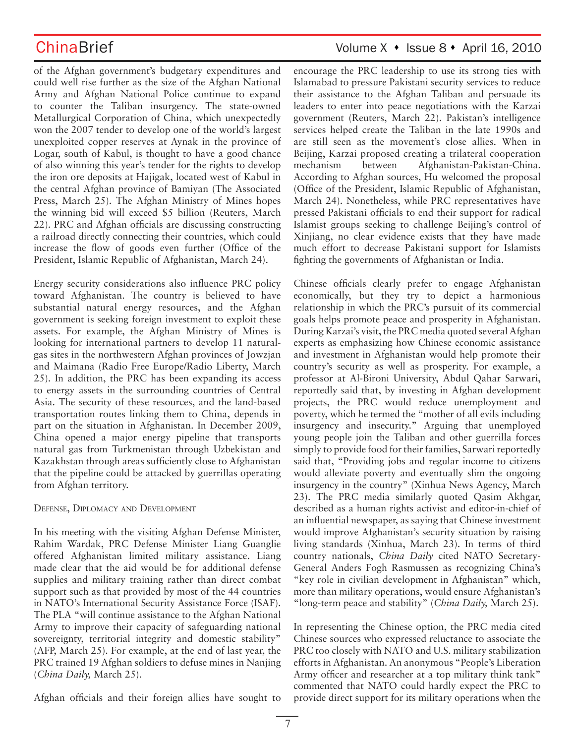of the Afghan government's budgetary expenditures and could well rise further as the size of the Afghan National Army and Afghan National Police continue to expand to counter the Taliban insurgency. The state-owned Metallurgical Corporation of China, which unexpectedly won the 2007 tender to develop one of the world's largest unexploited copper reserves at Aynak in the province of Logar, south of Kabul, is thought to have a good chance of also winning this year's tender for the rights to develop the iron ore deposits at Hajigak, located west of Kabul in the central Afghan province of Bamiyan (The Associated Press, March 25). The Afghan Ministry of Mines hopes the winning bid will exceed \$5 billion (Reuters, March 22). PRC and Afghan officials are discussing constructing a railroad directly connecting their countries, which could increase the flow of goods even further (Office of the President, Islamic Republic of Afghanistan, March 24).

Energy security considerations also influence PRC policy toward Afghanistan. The country is believed to have substantial natural energy resources, and the Afghan government is seeking foreign investment to exploit these assets. For example, the Afghan Ministry of Mines is looking for international partners to develop 11 naturalgas sites in the northwestern Afghan provinces of Jowzjan and Maimana (Radio Free Europe/Radio Liberty, March 25). In addition, the PRC has been expanding its access to energy assets in the surrounding countries of Central Asia. The security of these resources, and the land-based transportation routes linking them to China, depends in part on the situation in Afghanistan. In December 2009, China opened a major energy pipeline that transports natural gas from Turkmenistan through Uzbekistan and Kazakhstan through areas sufficiently close to Afghanistan that the pipeline could be attacked by guerrillas operating from Afghan territory.

DEFENSE, DIPLOMACY AND DEVELOPMENT

In his meeting with the visiting Afghan Defense Minister, Rahim Wardak, PRC Defense Minister Liang Guanglie offered Afghanistan limited military assistance. Liang made clear that the aid would be for additional defense supplies and military training rather than direct combat support such as that provided by most of the 44 countries in NATO's International Security Assistance Force (ISAF). The PLA "will continue assistance to the Afghan National Army to improve their capacity of safeguarding national sovereignty, territorial integrity and domestic stability" (AFP, March 25). For example, at the end of last year, the PRC trained 19 Afghan soldiers to defuse mines in Nanjing (*China Daily,* March 25).

Afghan officials and their foreign allies have sought to

# ChinaBrief Volume X • Issue 8 • April 16, 2010

encourage the PRC leadership to use its strong ties with Islamabad to pressure Pakistani security services to reduce their assistance to the Afghan Taliban and persuade its leaders to enter into peace negotiations with the Karzai government (Reuters, March 22). Pakistan's intelligence services helped create the Taliban in the late 1990s and are still seen as the movement's close allies. When in Beijing, Karzai proposed creating a trilateral cooperation mechanism between Afghanistan-Pakistan-China. According to Afghan sources, Hu welcomed the proposal (Office of the President, Islamic Republic of Afghanistan, March 24). Nonetheless, while PRC representatives have pressed Pakistani officials to end their support for radical Islamist groups seeking to challenge Beijing's control of Xinjiang, no clear evidence exists that they have made much effort to decrease Pakistani support for Islamists fighting the governments of Afghanistan or India.

Chinese officials clearly prefer to engage Afghanistan economically, but they try to depict a harmonious relationship in which the PRC's pursuit of its commercial goals helps promote peace and prosperity in Afghanistan. During Karzai's visit, the PRC media quoted several Afghan experts as emphasizing how Chinese economic assistance and investment in Afghanistan would help promote their country's security as well as prosperity. For example, a professor at Al-Bironi University, Abdul Qahar Sarwari, reportedly said that, by investing in Afghan development projects, the PRC would reduce unemployment and poverty, which he termed the "mother of all evils including insurgency and insecurity." Arguing that unemployed young people join the Taliban and other guerrilla forces simply to provide food for their families, Sarwari reportedly said that, "Providing jobs and regular income to citizens would alleviate poverty and eventually slim the ongoing insurgency in the country" (Xinhua News Agency, March 23). The PRC media similarly quoted Qasim Akhgar, described as a human rights activist and editor-in-chief of an influential newspaper, as saying that Chinese investment would improve Afghanistan's security situation by raising living standards (Xinhua, March 23). In terms of third country nationals, *China Daily* cited NATO Secretary-General Anders Fogh Rasmussen as recognizing China's "key role in civilian development in Afghanistan" which, more than military operations, would ensure Afghanistan's "long-term peace and stability" (*China Daily,* March 25).

In representing the Chinese option, the PRC media cited Chinese sources who expressed reluctance to associate the PRC too closely with NATO and U.S. military stabilization efforts in Afghanistan. An anonymous "People's Liberation Army officer and researcher at a top military think tank" commented that NATO could hardly expect the PRC to provide direct support for its military operations when the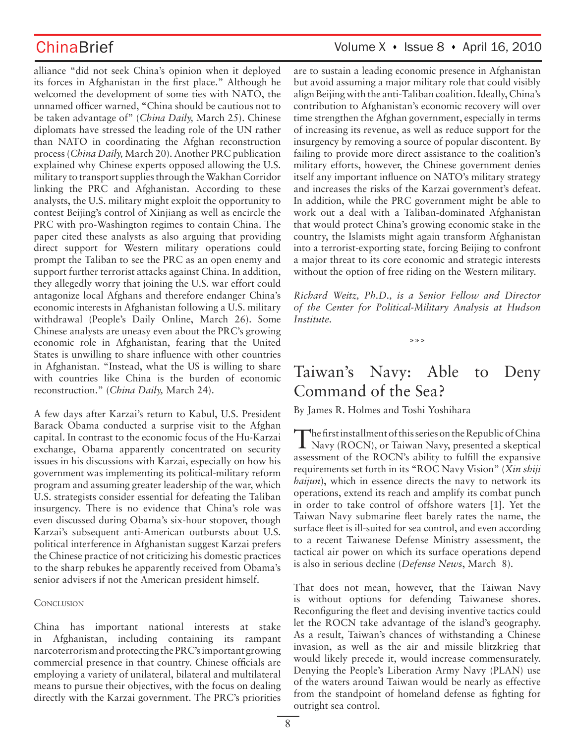alliance "did not seek China's opinion when it deployed its forces in Afghanistan in the first place." Although he welcomed the development of some ties with NATO, the unnamed officer warned, "China should be cautious not to be taken advantage of" (*China Daily,* March 25). Chinese diplomats have stressed the leading role of the UN rather than NATO in coordinating the Afghan reconstruction process (*China Daily,* March 20). Another PRC publication explained why Chinese experts opposed allowing the U.S. military to transport supplies through the Wakhan Corridor linking the PRC and Afghanistan. According to these analysts, the U.S. military might exploit the opportunity to contest Beijing's control of Xinjiang as well as encircle the PRC with pro-Washington regimes to contain China. The paper cited these analysts as also arguing that providing direct support for Western military operations could prompt the Taliban to see the PRC as an open enemy and support further terrorist attacks against China. In addition, they allegedly worry that joining the U.S. war effort could antagonize local Afghans and therefore endanger China's economic interests in Afghanistan following a U.S. military withdrawal (People's Daily Online, March 26). Some Chinese analysts are uneasy even about the PRC's growing economic role in Afghanistan, fearing that the United States is unwilling to share influence with other countries in Afghanistan. "Instead, what the US is willing to share with countries like China is the burden of economic reconstruction." (*China Daily,* March 24).

A few days after Karzai's return to Kabul, U.S. President Barack Obama conducted a surprise visit to the Afghan capital. In contrast to the economic focus of the Hu-Karzai exchange, Obama apparently concentrated on security issues in his discussions with Karzai, especially on how his government was implementing its political-military reform program and assuming greater leadership of the war, which U.S. strategists consider essential for defeating the Taliban insurgency. There is no evidence that China's role was even discussed during Obama's six-hour stopover, though Karzai's subsequent anti-American outbursts about U.S. political interference in Afghanistan suggest Karzai prefers the Chinese practice of not criticizing his domestic practices to the sharp rebukes he apparently received from Obama's senior advisers if not the American president himself.

### **CONCLUSION**

China has important national interests at stake in Afghanistan, including containing its rampant narcoterrorism and protecting the PRC's important growing commercial presence in that country. Chinese officials are employing a variety of unilateral, bilateral and multilateral means to pursue their objectives, with the focus on dealing directly with the Karzai government. The PRC's priorities

## ChinaBrief Volume X · Issue 8 · April 16, 2010

are to sustain a leading economic presence in Afghanistan but avoid assuming a major military role that could visibly align Beijing with the anti-Taliban coalition. Ideally, China's contribution to Afghanistan's economic recovery will over time strengthen the Afghan government, especially in terms of increasing its revenue, as well as reduce support for the insurgency by removing a source of popular discontent. By failing to provide more direct assistance to the coalition's military efforts, however, the Chinese government denies itself any important influence on NATO's military strategy and increases the risks of the Karzai government's defeat. In addition, while the PRC government might be able to work out a deal with a Taliban-dominated Afghanistan that would protect China's growing economic stake in the country, the Islamists might again transform Afghanistan into a terrorist-exporting state, forcing Beijing to confront a major threat to its core economic and strategic interests without the option of free riding on the Western military.

*Richard Weitz, Ph.D., is a Senior Fellow and Director of the Center for Political-Military Analysis at Hudson Institute.*

\*\*\*

# Taiwan's Navy: Able to Deny Command of the Sea?

### By James R. Holmes and Toshi Yoshihara

The first installment of this series on the Republic of China **I** Navy (ROCN), or Taiwan Navy, presented a skeptical assessment of the ROCN's ability to fulfill the expansive requirements set forth in its "ROC Navy Vision" (*Xin shiji haijun*), which in essence directs the navy to network its operations, extend its reach and amplify its combat punch in order to take control of offshore waters [1]. Yet the Taiwan Navy submarine fleet barely rates the name, the surface fleet is ill-suited for sea control, and even according to a recent Taiwanese Defense Ministry assessment, the tactical air power on which its surface operations depend is also in serious decline (*Defense News*, March 8).

That does not mean, however, that the Taiwan Navy is without options for defending Taiwanese shores. Reconfiguring the fleet and devising inventive tactics could let the ROCN take advantage of the island's geography. As a result, Taiwan's chances of withstanding a Chinese invasion, as well as the air and missile blitzkrieg that would likely precede it, would increase commensurately. Denying the People's Liberation Army Navy (PLAN) use of the waters around Taiwan would be nearly as effective from the standpoint of homeland defense as fighting for outright sea control.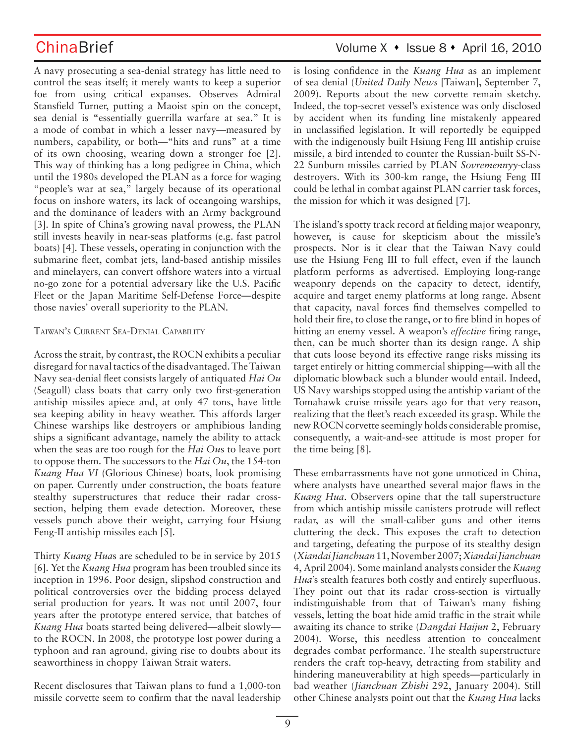A navy prosecuting a sea-denial strategy has little need to control the seas itself; it merely wants to keep a superior foe from using critical expanses. Observes Admiral Stansfield Turner, putting a Maoist spin on the concept, sea denial is "essentially guerrilla warfare at sea." It is a mode of combat in which a lesser navy—measured by numbers, capability, or both—"hits and runs" at a time of its own choosing, wearing down a stronger foe [2]. This way of thinking has a long pedigree in China, which until the 1980s developed the PLAN as a force for waging "people's war at sea," largely because of its operational focus on inshore waters, its lack of oceangoing warships, and the dominance of leaders with an Army background [3]. In spite of China's growing naval prowess, the PLAN still invests heavily in near-seas platforms (e.g. fast patrol boats) [4]. These vessels, operating in conjunction with the submarine fleet, combat jets, land-based antiship missiles and minelayers, can convert offshore waters into a virtual no-go zone for a potential adversary like the U.S. Pacific Fleet or the Japan Maritime Self-Defense Force—despite those navies' overall superiority to the PLAN.

### TAIWAN'S CURRENT SEA-DENIAL CAPABILITY

Across the strait, by contrast, the ROCN exhibits a peculiar disregard for naval tactics of the disadvantaged. The Taiwan Navy sea-denial fleet consists largely of antiquated *Hai Ou* (Seagull) class boats that carry only two first-generation antiship missiles apiece and, at only 47 tons, have little sea keeping ability in heavy weather. This affords larger Chinese warships like destroyers or amphibious landing ships a significant advantage, namely the ability to attack when the seas are too rough for the *Hai Ou*s to leave port to oppose them. The successors to the *Hai Ou*, the 154-ton *Kuang Hua VI* (Glorious Chinese) boats, look promising on paper. Currently under construction, the boats feature stealthy superstructures that reduce their radar crosssection, helping them evade detection. Moreover, these vessels punch above their weight, carrying four Hsiung Feng-II antiship missiles each [5].

Thirty *Kuang Hua*s are scheduled to be in service by 2015 [6]. Yet the *Kuang Hua* program has been troubled since its inception in 1996. Poor design, slipshod construction and political controversies over the bidding process delayed serial production for years. It was not until 2007, four years after the prototype entered service, that batches of *Kuang Hua* boats started being delivered—albeit slowly to the ROCN. In 2008, the prototype lost power during a typhoon and ran aground, giving rise to doubts about its seaworthiness in choppy Taiwan Strait waters.

Recent disclosures that Taiwan plans to fund a 1,000-ton missile corvette seem to confirm that the naval leadership

# ChinaBrief Volume X • Issue 8 • April 16, 2010

is losing confidence in the *Kuang Hua* as an implement of sea denial (*United Daily News* [Taiwan], September 7, 2009). Reports about the new corvette remain sketchy. Indeed, the top-secret vessel's existence was only disclosed by accident when its funding line mistakenly appeared in unclassified legislation. It will reportedly be equipped with the indigenously built Hsiung Feng III antiship cruise missile, a bird intended to counter the Russian-built SS-N-22 Sunburn missiles carried by PLAN *Sovremennyy*-class destroyers. With its 300-km range, the Hsiung Feng III could be lethal in combat against PLAN carrier task forces, the mission for which it was designed [7].

The island's spotty track record at fielding major weaponry, however, is cause for skepticism about the missile's prospects. Nor is it clear that the Taiwan Navy could use the Hsiung Feng III to full effect, even if the launch platform performs as advertised. Employing long-range weaponry depends on the capacity to detect, identify, acquire and target enemy platforms at long range. Absent that capacity, naval forces find themselves compelled to hold their fire, to close the range, or to fire blind in hopes of hitting an enemy vessel. A weapon's *effective* firing range, then, can be much shorter than its design range. A ship that cuts loose beyond its effective range risks missing its target entirely or hitting commercial shipping—with all the diplomatic blowback such a blunder would entail. Indeed, US Navy warships stopped using the antiship variant of the Tomahawk cruise missile years ago for that very reason, realizing that the fleet's reach exceeded its grasp. While the new ROCN corvette seemingly holds considerable promise, consequently, a wait-and-see attitude is most proper for the time being [8].

These embarrassments have not gone unnoticed in China, where analysts have unearthed several major flaws in the *Kuang Hua*. Observers opine that the tall superstructure from which antiship missile canisters protrude will reflect radar, as will the small-caliber guns and other items cluttering the deck. This exposes the craft to detection and targeting, defeating the purpose of its stealthy design (*Xiandai Jianchuan* 11, November 2007; *Xiandai Jianchuan* 4, April 2004). Some mainland analysts consider the *Kuang Hua*'s stealth features both costly and entirely superfluous. They point out that its radar cross-section is virtually indistinguishable from that of Taiwan's many fishing vessels, letting the boat hide amid traffic in the strait while awaiting its chance to strike (*Dangdai Haijun* 2, February 2004). Worse, this needless attention to concealment degrades combat performance. The stealth superstructure renders the craft top-heavy, detracting from stability and hindering maneuverability at high speeds—particularly in bad weather (*Jianchuan Zhishi* 292, January 2004). Still other Chinese analysts point out that the *Kuang Hua* lacks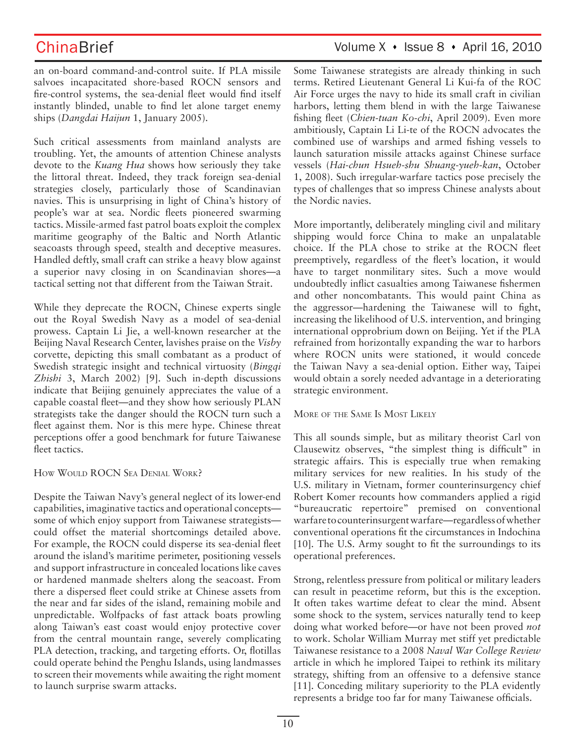an on-board command-and-control suite. If PLA missile salvoes incapacitated shore-based ROCN sensors and fire-control systems, the sea-denial fleet would find itself instantly blinded, unable to find let alone target enemy ships (*Dangdai Haijun* 1, January 2005).

Such critical assessments from mainland analysts are troubling. Yet, the amounts of attention Chinese analysts devote to the *Kuang Hua* shows how seriously they take the littoral threat. Indeed, they track foreign sea-denial strategies closely, particularly those of Scandinavian navies. This is unsurprising in light of China's history of people's war at sea. Nordic fleets pioneered swarming tactics. Missile-armed fast patrol boats exploit the complex maritime geography of the Baltic and North Atlantic seacoasts through speed, stealth and deceptive measures. Handled deftly, small craft can strike a heavy blow against a superior navy closing in on Scandinavian shores—a tactical setting not that different from the Taiwan Strait.

While they deprecate the ROCN, Chinese experts single out the Royal Swedish Navy as a model of sea-denial prowess. Captain Li Jie, a well-known researcher at the Beijing Naval Research Center, lavishes praise on the *Visby* corvette, depicting this small combatant as a product of Swedish strategic insight and technical virtuosity (*Bingqi Zhishi* 3, March 2002) [9]. Such in-depth discussions indicate that Beijing genuinely appreciates the value of a capable coastal fleet—and they show how seriously PLAN strategists take the danger should the ROCN turn such a fleet against them. Nor is this mere hype. Chinese threat perceptions offer a good benchmark for future Taiwanese fleet tactics.

HOW WOULD ROCN SEA DENIAL WORK?

Despite the Taiwan Navy's general neglect of its lower-end capabilities, imaginative tactics and operational concepts some of which enjoy support from Taiwanese strategists could offset the material shortcomings detailed above. For example, the ROCN could disperse its sea-denial fleet around the island's maritime perimeter, positioning vessels and support infrastructure in concealed locations like caves or hardened manmade shelters along the seacoast. From there a dispersed fleet could strike at Chinese assets from the near and far sides of the island, remaining mobile and unpredictable. Wolfpacks of fast attack boats prowling along Taiwan's east coast would enjoy protective cover from the central mountain range, severely complicating PLA detection, tracking, and targeting efforts. Or, flotillas could operate behind the Penghu Islands, using landmasses to screen their movements while awaiting the right moment to launch surprise swarm attacks.

## ChinaBrief Volume X · Issue 8 · April 16, 2010

Some Taiwanese strategists are already thinking in such terms. Retired Lieutenant General Li Kui-fa of the ROC Air Force urges the navy to hide its small craft in civilian harbors, letting them blend in with the large Taiwanese fishing fleet (*Chien-tuan Ko-chi*, April 2009). Even more ambitiously, Captain Li Li-te of the ROCN advocates the combined use of warships and armed fishing vessels to launch saturation missile attacks against Chinese surface vessels (*Hai-chun Hsueh-shu Shuang-yueh-kan*, October 1, 2008). Such irregular-warfare tactics pose precisely the types of challenges that so impress Chinese analysts about the Nordic navies.

More importantly, deliberately mingling civil and military shipping would force China to make an unpalatable choice. If the PLA chose to strike at the ROCN fleet preemptively, regardless of the fleet's location, it would have to target nonmilitary sites. Such a move would undoubtedly inflict casualties among Taiwanese fishermen and other noncombatants. This would paint China as the aggressor—hardening the Taiwanese will to fight, increasing the likelihood of U.S. intervention, and bringing international opprobrium down on Beijing. Yet if the PLA refrained from horizontally expanding the war to harbors where ROCN units were stationed, it would concede the Taiwan Navy a sea-denial option. Either way, Taipei would obtain a sorely needed advantage in a deteriorating strategic environment.

### MORE OF THE SAME IS MOST LIKELY

This all sounds simple, but as military theorist Carl von Clausewitz observes, "the simplest thing is difficult" in strategic affairs. This is especially true when remaking military services for new realities. In his study of the U.S. military in Vietnam, former counterinsurgency chief Robert Komer recounts how commanders applied a rigid "bureaucratic repertoire" premised on conventional warfare to counterinsurgent warfare—regardless of whether conventional operations fit the circumstances in Indochina [10]. The U.S. Army sought to fit the surroundings to its operational preferences.

Strong, relentless pressure from political or military leaders can result in peacetime reform, but this is the exception. It often takes wartime defeat to clear the mind. Absent some shock to the system, services naturally tend to keep doing what worked before—or have not been proved *not* to work. Scholar William Murray met stiff yet predictable Taiwanese resistance to a 2008 *Naval War College Review* article in which he implored Taipei to rethink its military strategy, shifting from an offensive to a defensive stance [11]. Conceding military superiority to the PLA evidently represents a bridge too far for many Taiwanese officials.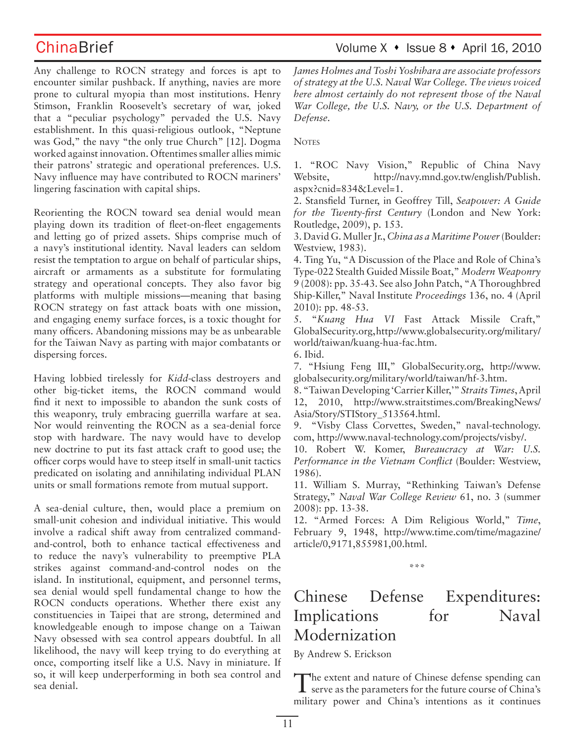# ChinaBrief Volume X • Issue 8 • April 16, 2010

Any challenge to ROCN strategy and forces is apt to encounter similar pushback. If anything, navies are more prone to cultural myopia than most institutions. Henry Stimson, Franklin Roosevelt's secretary of war, joked that a "peculiar psychology" pervaded the U.S. Navy establishment. In this quasi-religious outlook, "Neptune was God," the navy "the only true Church" [12]. Dogma worked against innovation. Oftentimes smaller allies mimic their patrons' strategic and operational preferences. U.S. Navy influence may have contributed to ROCN mariners' lingering fascination with capital ships.

Reorienting the ROCN toward sea denial would mean playing down its tradition of fleet-on-fleet engagements and letting go of prized assets. Ships comprise much of a navy's institutional identity. Naval leaders can seldom resist the temptation to argue on behalf of particular ships, aircraft or armaments as a substitute for formulating strategy and operational concepts. They also favor big platforms with multiple missions—meaning that basing ROCN strategy on fast attack boats with one mission, and engaging enemy surface forces, is a toxic thought for many officers. Abandoning missions may be as unbearable for the Taiwan Navy as parting with major combatants or dispersing forces.

Having lobbied tirelessly for *Kidd*-class destroyers and other big-ticket items, the ROCN command would find it next to impossible to abandon the sunk costs of this weaponry, truly embracing guerrilla warfare at sea. Nor would reinventing the ROCN as a sea-denial force stop with hardware. The navy would have to develop new doctrine to put its fast attack craft to good use; the officer corps would have to steep itself in small-unit tactics predicated on isolating and annihilating individual PLAN units or small formations remote from mutual support.

A sea-denial culture, then, would place a premium on small-unit cohesion and individual initiative. This would involve a radical shift away from centralized commandand-control, both to enhance tactical effectiveness and to reduce the navy's vulnerability to preemptive PLA strikes against command-and-control nodes on the island. In institutional, equipment, and personnel terms, sea denial would spell fundamental change to how the ROCN conducts operations. Whether there exist any constituencies in Taipei that are strong, determined and knowledgeable enough to impose change on a Taiwan Navy obsessed with sea control appears doubtful. In all likelihood, the navy will keep trying to do everything at once, comporting itself like a U.S. Navy in miniature. If so, it will keep underperforming in both sea control and sea denial.

*James Holmes and Toshi Yoshihara are associate professors of strategy at the U.S. Naval War College. The views voiced here almost certainly do not represent those of the Naval War College, the U.S. Navy, or the U.S. Department of Defense.*

**NOTES** 

1. "ROC Navy Vision," Republic of China Navy Website, http://navy.mnd.gov.tw/english/Publish. aspx?cnid=834&Level=1.

2. Stansfield Turner, in Geoffrey Till, *Seapower: A Guide for the Twenty-first Century* (London and New York: Routledge, 2009), p. 153.

3. David G. Muller Jr., *China as a Maritime Power* (Boulder: Westview, 1983).

4. Ting Yu, "A Discussion of the Place and Role of China's Type-022 Stealth Guided Missile Boat," *Modern Weaponry* 9 (2008): pp. 35-43. See also John Patch, "A Thoroughbred Ship-Killer," Naval Institute *Proceedings* 136, no. 4 (April 2010): pp. 48-53.

5. "*Kuang Hua VI* Fast Attack Missile Craft," GlobalSecurity.org, http://www.globalsecurity.org/military/ world/taiwan/kuang-hua-fac.htm.

6. Ibid.

7. "Hsiung Feng III," GlobalSecurity.org, http://www. globalsecurity.org/military/world/taiwan/hf-3.htm.

8. "Taiwan Developing 'Carrier Killer,'" *Straits Times*, April 12, 2010, http://www.straitstimes.com/BreakingNews/ Asia/Story/STIStory\_513564.html.

9. "Visby Class Corvettes, Sweden," naval-technology. com, http://www.naval-technology.com/projects/visby/.

10. Robert W. Komer, *Bureaucracy at War: U.S. Performance in the Vietnam Conflict* (Boulder: Westview, 1986).

11. William S. Murray, "Rethinking Taiwan's Defense Strategy," *Naval War College Review* 61, no. 3 (summer 2008): pp. 13-38.

12. "Armed Forces: A Dim Religious World," *Time*, February 9, 1948, http://www.time.com/time/magazine/ article/0,9171,855981,00.html.

\*\*\*

# Chinese Defense Expenditures: Implications for Naval Modernization

By Andrew S. Erickson

The extent and nature of Chinese defense spending can serve as the parameters for the future course of China's military power and China's intentions as it continues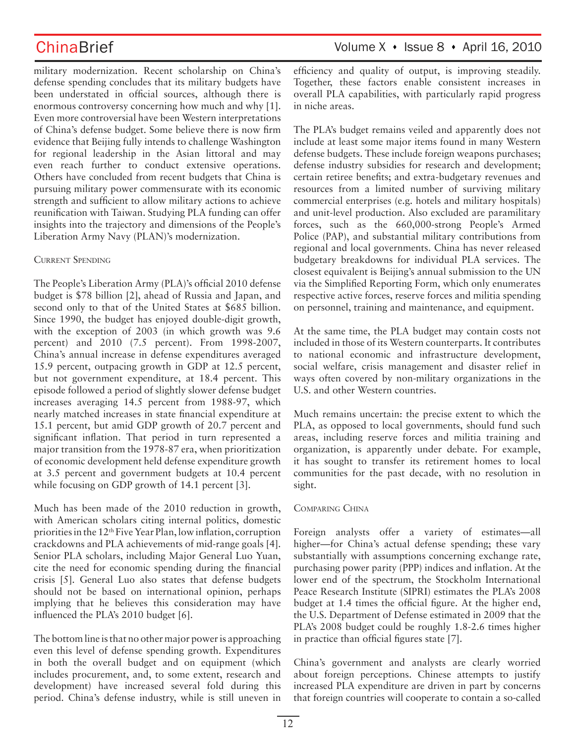military modernization. Recent scholarship on China's defense spending concludes that its military budgets have been understated in official sources, although there is enormous controversy concerning how much and why [1]. Even more controversial have been Western interpretations of China's defense budget. Some believe there is now firm evidence that Beijing fully intends to challenge Washington for regional leadership in the Asian littoral and may even reach further to conduct extensive operations. Others have concluded from recent budgets that China is pursuing military power commensurate with its economic strength and sufficient to allow military actions to achieve reunification with Taiwan. Studying PLA funding can offer insights into the trajectory and dimensions of the People's Liberation Army Navy (PLAN)'s modernization.

### CURRENT SPENDING

The People's Liberation Army (PLA)'s official 2010 defense budget is \$78 billion [2], ahead of Russia and Japan, and second only to that of the United States at \$685 billion. Since 1990, the budget has enjoyed double-digit growth, with the exception of 2003 (in which growth was 9.6 percent) and 2010 (7.5 percent). From 1998-2007, China's annual increase in defense expenditures averaged 15.9 percent, outpacing growth in GDP at 12.5 percent, but not government expenditure, at 18.4 percent. This episode followed a period of slightly slower defense budget increases averaging 14.5 percent from 1988-97, which nearly matched increases in state financial expenditure at 15.1 percent, but amid GDP growth of 20.7 percent and significant inflation. That period in turn represented a major transition from the 1978-87 era, when prioritization of economic development held defense expenditure growth at 3.5 percent and government budgets at 10.4 percent while focusing on GDP growth of 14.1 percent [3].

Much has been made of the 2010 reduction in growth, with American scholars citing internal politics, domestic priorities in the 12th Five Year Plan, low inflation, corruption crackdowns and PLA achievements of mid-range goals [4]. Senior PLA scholars, including Major General Luo Yuan, cite the need for economic spending during the financial crisis [5]. General Luo also states that defense budgets should not be based on international opinion, perhaps implying that he believes this consideration may have influenced the PLA's 2010 budget [6].

The bottom line is that no other major power is approaching even this level of defense spending growth. Expenditures in both the overall budget and on equipment (which includes procurement, and, to some extent, research and development) have increased several fold during this period. China's defense industry, while is still uneven in efficiency and quality of output, is improving steadily. Together, these factors enable consistent increases in overall PLA capabilities, with particularly rapid progress in niche areas.

The PLA's budget remains veiled and apparently does not include at least some major items found in many Western defense budgets. These include foreign weapons purchases; defense industry subsidies for research and development; certain retiree benefits; and extra-budgetary revenues and resources from a limited number of surviving military commercial enterprises (e.g. hotels and military hospitals) and unit-level production. Also excluded are paramilitary forces, such as the 660,000-strong People's Armed Police (PAP), and substantial military contributions from regional and local governments. China has never released budgetary breakdowns for individual PLA services. The closest equivalent is Beijing's annual submission to the UN via the Simplified Reporting Form, which only enumerates respective active forces, reserve forces and militia spending on personnel, training and maintenance, and equipment.

At the same time, the PLA budget may contain costs not included in those of its Western counterparts. It contributes to national economic and infrastructure development, social welfare, crisis management and disaster relief in ways often covered by non-military organizations in the U.S. and other Western countries.

Much remains uncertain: the precise extent to which the PLA, as opposed to local governments, should fund such areas, including reserve forces and militia training and organization, is apparently under debate. For example, it has sought to transfer its retirement homes to local communities for the past decade, with no resolution in sight.

### COMPARING CHINA

Foreign analysts offer a variety of estimates—all higher—for China's actual defense spending; these vary substantially with assumptions concerning exchange rate, purchasing power parity (PPP) indices and inflation. At the lower end of the spectrum, the Stockholm International Peace Research Institute (SIPRI) estimates the PLA's 2008 budget at 1.4 times the official figure. At the higher end, the U.S. Department of Defense estimated in 2009 that the PLA's 2008 budget could be roughly 1.8-2.6 times higher in practice than official figures state [7].

China's government and analysts are clearly worried about foreign perceptions. Chinese attempts to justify increased PLA expenditure are driven in part by concerns that foreign countries will cooperate to contain a so-called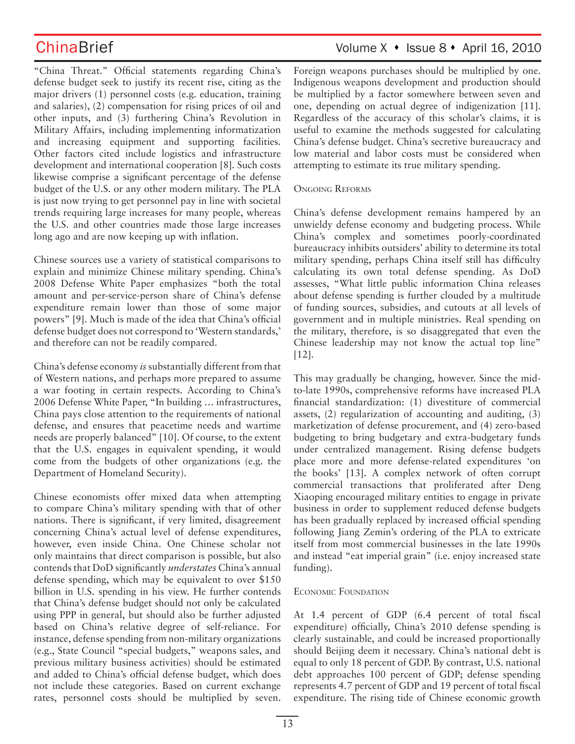"China Threat." Official statements regarding China's defense budget seek to justify its recent rise, citing as the major drivers (1) personnel costs (e.g. education, training and salaries), (2) compensation for rising prices of oil and other inputs, and (3) furthering China's Revolution in Military Affairs, including implementing informatization and increasing equipment and supporting facilities. Other factors cited include logistics and infrastructure development and international cooperation [8]. Such costs likewise comprise a significant percentage of the defense budget of the U.S. or any other modern military. The PLA is just now trying to get personnel pay in line with societal trends requiring large increases for many people, whereas the U.S. and other countries made those large increases long ago and are now keeping up with inflation.

Chinese sources use a variety of statistical comparisons to explain and minimize Chinese military spending. China's 2008 Defense White Paper emphasizes "both the total amount and per-service-person share of China's defense expenditure remain lower than those of some major powers" [9]. Much is made of the idea that China's official defense budget does not correspond to 'Western standards,' and therefore can not be readily compared.

China's defense economy *is* substantially different from that of Western nations, and perhaps more prepared to assume a war footing in certain respects. According to China's 2006 Defense White Paper, "In building … infrastructures, China pays close attention to the requirements of national defense, and ensures that peacetime needs and wartime needs are properly balanced" [10]. Of course, to the extent that the U.S. engages in equivalent spending, it would come from the budgets of other organizations (e.g. the Department of Homeland Security).

Chinese economists offer mixed data when attempting to compare China's military spending with that of other nations. There is significant, if very limited, disagreement concerning China's actual level of defense expenditures, however, even inside China. One Chinese scholar not only maintains that direct comparison is possible, but also contends that DoD significantly *understates* China's annual defense spending, which may be equivalent to over \$150 billion in U.S. spending in his view. He further contends that China's defense budget should not only be calculated using PPP in general, but should also be further adjusted based on China's relative degree of self-reliance. For instance, defense spending from non-military organizations (e.g., State Council "special budgets," weapons sales, and previous military business activities) should be estimated and added to China's official defense budget, which does not include these categories. Based on current exchange rates, personnel costs should be multiplied by seven.

# ChinaBrief Volume X • Issue 8 • April 16, 2010

Foreign weapons purchases should be multiplied by one. Indigenous weapons development and production should be multiplied by a factor somewhere between seven and one, depending on actual degree of indigenization [11]. Regardless of the accuracy of this scholar's claims, it is useful to examine the methods suggested for calculating China's defense budget. China's secretive bureaucracy and low material and labor costs must be considered when attempting to estimate its true military spending.

### ONGOING REFORMS

China's defense development remains hampered by an unwieldy defense economy and budgeting process. While China's complex and sometimes poorly-coordinated bureaucracy inhibits outsiders' ability to determine its total military spending, perhaps China itself still has difficulty calculating its own total defense spending. As DoD assesses, "What little public information China releases about defense spending is further clouded by a multitude of funding sources, subsidies, and cutouts at all levels of government and in multiple ministries. Real spending on the military, therefore, is so disaggregated that even the Chinese leadership may not know the actual top line" [12].

This may gradually be changing, however. Since the midto-late 1990s, comprehensive reforms have increased PLA financial standardization: (1) divestiture of commercial assets, (2) regularization of accounting and auditing, (3) marketization of defense procurement, and (4) zero-based budgeting to bring budgetary and extra-budgetary funds under centralized management. Rising defense budgets place more and more defense-related expenditures 'on the books' [13]. A complex network of often corrupt commercial transactions that proliferated after Deng Xiaoping encouraged military entities to engage in private business in order to supplement reduced defense budgets has been gradually replaced by increased official spending following Jiang Zemin's ordering of the PLA to extricate itself from most commercial businesses in the late 1990s and instead "eat imperial grain" (i.e. enjoy increased state funding).

### ECONOMIC FOUNDATION

At 1.4 percent of GDP (6.4 percent of total fiscal expenditure) officially, China's 2010 defense spending is clearly sustainable, and could be increased proportionally should Beijing deem it necessary. China's national debt is equal to only 18 percent of GDP. By contrast, U.S. national debt approaches 100 percent of GDP; defense spending represents 4.7 percent of GDP and 19 percent of total fiscal expenditure. The rising tide of Chinese economic growth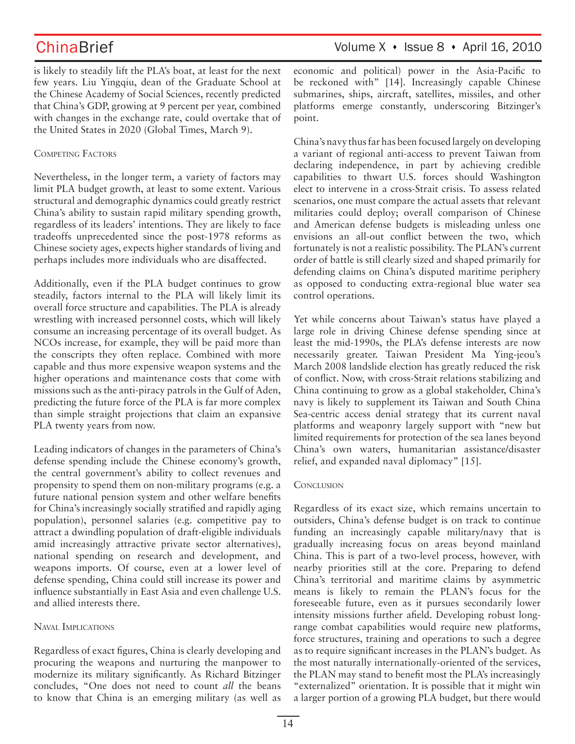ChinaBrief Volume X · Issue 8 · April 16, 2010

is likely to steadily lift the PLA's boat, at least for the next few years. Liu Yingqiu, dean of the Graduate School at the Chinese Academy of Social Sciences, recently predicted that China's GDP, growing at 9 percent per year, combined with changes in the exchange rate, could overtake that of the United States in 2020 (Global Times, March 9).

### COMPETING FACTORS

Nevertheless, in the longer term, a variety of factors may limit PLA budget growth, at least to some extent. Various structural and demographic dynamics could greatly restrict China's ability to sustain rapid military spending growth, regardless of its leaders' intentions. They are likely to face tradeoffs unprecedented since the post-1978 reforms as Chinese society ages, expects higher standards of living and perhaps includes more individuals who are disaffected.

Additionally, even if the PLA budget continues to grow steadily, factors internal to the PLA will likely limit its overall force structure and capabilities. The PLA is already wrestling with increased personnel costs, which will likely consume an increasing percentage of its overall budget. As NCOs increase, for example, they will be paid more than the conscripts they often replace. Combined with more capable and thus more expensive weapon systems and the higher operations and maintenance costs that come with missions such as the anti-piracy patrols in the Gulf of Aden, predicting the future force of the PLA is far more complex than simple straight projections that claim an expansive PLA twenty years from now.

Leading indicators of changes in the parameters of China's defense spending include the Chinese economy's growth, the central government's ability to collect revenues and propensity to spend them on non-military programs (e.g. a future national pension system and other welfare benefits for China's increasingly socially stratified and rapidly aging population), personnel salaries (e.g. competitive pay to attract a dwindling population of draft-eligible individuals amid increasingly attractive private sector alternatives), national spending on research and development, and weapons imports. Of course, even at a lower level of defense spending, China could still increase its power and influence substantially in East Asia and even challenge U.S. and allied interests there.

### NAVAL IMPLICATIONS

Regardless of exact figures, China is clearly developing and procuring the weapons and nurturing the manpower to modernize its military significantly. As Richard Bitzinger concludes, "One does not need to count *all* the beans to know that China is an emerging military (as well as economic and political) power in the Asia-Pacific to be reckoned with" [14]. Increasingly capable Chinese submarines, ships, aircraft, satellites, missiles, and other platforms emerge constantly, underscoring Bitzinger's point.

China's navy thus far has been focused largely on developing a variant of regional anti-access to prevent Taiwan from declaring independence, in part by achieving credible capabilities to thwart U.S. forces should Washington elect to intervene in a cross-Strait crisis. To assess related scenarios, one must compare the actual assets that relevant militaries could deploy; overall comparison of Chinese and American defense budgets is misleading unless one envisions an all-out conflict between the two, which fortunately is not a realistic possibility. The PLAN's current order of battle is still clearly sized and shaped primarily for defending claims on China's disputed maritime periphery as opposed to conducting extra-regional blue water sea control operations.

Yet while concerns about Taiwan's status have played a large role in driving Chinese defense spending since at least the mid-1990s, the PLA's defense interests are now necessarily greater. Taiwan President Ma Ying-jeou's March 2008 landslide election has greatly reduced the risk of conflict. Now, with cross-Strait relations stabilizing and China continuing to grow as a global stakeholder, China's navy is likely to supplement its Taiwan and South China Sea-centric access denial strategy that its current naval platforms and weaponry largely support with "new but limited requirements for protection of the sea lanes beyond China's own waters, humanitarian assistance/disaster relief, and expanded naval diplomacy" [15].

### **CONCLUSION**

Regardless of its exact size, which remains uncertain to outsiders, China's defense budget is on track to continue funding an increasingly capable military/navy that is gradually increasing focus on areas beyond mainland China. This is part of a two-level process, however, with nearby priorities still at the core. Preparing to defend China's territorial and maritime claims by asymmetric means is likely to remain the PLAN's focus for the foreseeable future, even as it pursues secondarily lower intensity missions further afield. Developing robust longrange combat capabilities would require new platforms, force structures, training and operations to such a degree as to require significant increases in the PLAN's budget. As the most naturally internationally-oriented of the services, the PLAN may stand to benefit most the PLA's increasingly "externalized" orientation. It is possible that it might win a larger portion of a growing PLA budget, but there would